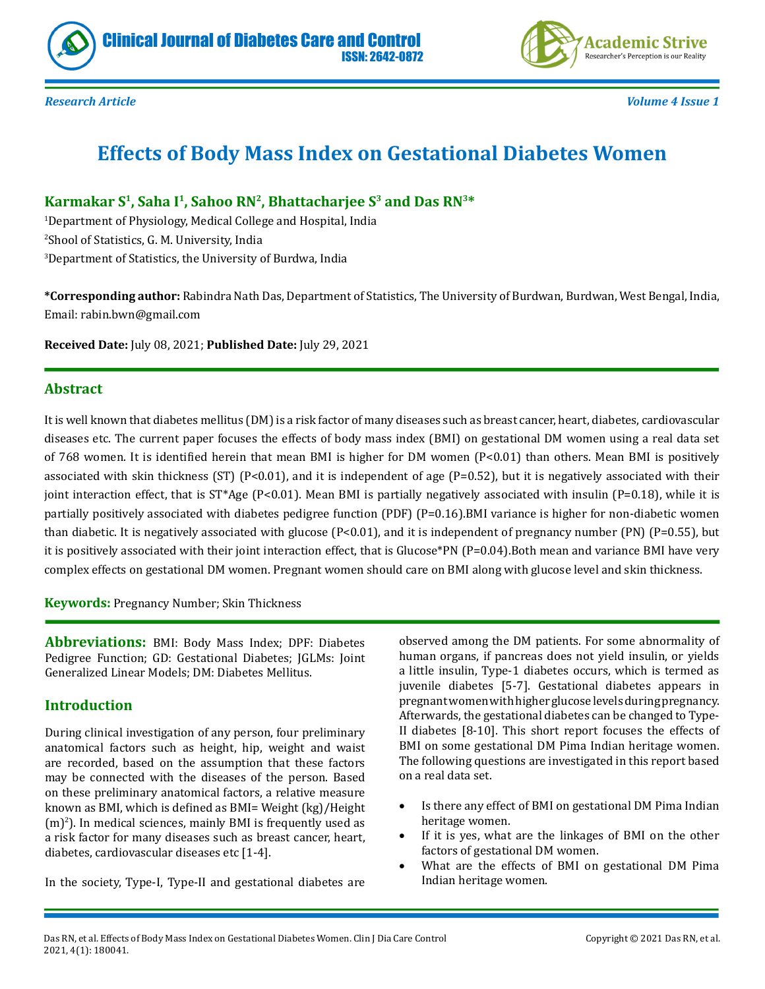



*Research Article Volume 4 Issue 1*

# **Effects of Body Mass Index on Gestational Diabetes Women**

# Karmakar S<sup>1</sup>, Saha I<sup>1</sup>, Sahoo RN<sup>2</sup>, Bhattacharjee S<sup>3</sup> and Das RN<sup>3\*</sup>

1 Department of Physiology, Medical College and Hospital, India 2 Shool of Statistics, G. M. University, India 3 Department of Statistics, the University of Burdwa, India

**\*Corresponding author:** Rabindra Nath Das, Department of Statistics, The University of Burdwan, Burdwan, West Bengal, India, Email: rabin.bwn@gmail.com

**Received Date:** July 08, 2021; **Published Date:** July 29, 2021

#### **Abstract**

It is well known that diabetes mellitus (DM) is a risk factor of many diseases such as breast cancer, heart, diabetes, cardiovascular diseases etc. The current paper focuses the effects of body mass index (BMI) on gestational DM women using a real data set of 768 women. It is identified herein that mean BMI is higher for DM women (P<0.01) than others. Mean BMI is positively associated with skin thickness (ST) (P<0.01), and it is independent of age (P=0.52), but it is negatively associated with their joint interaction effect, that is  $ST^*Age$  (P<0.01). Mean BMI is partially negatively associated with insulin (P=0.18), while it is partially positively associated with diabetes pedigree function (PDF) (P=0.16).BMI variance is higher for non-diabetic women than diabetic. It is negatively associated with glucose  $[P<0.01]$ , and it is independent of pregnancy number  $[PN]$   $[P=0.55]$ , but it is positively associated with their joint interaction effect, that is Glucose\*PN (P=0.04).Both mean and variance BMI have very complex effects on gestational DM women. Pregnant women should care on BMI along with glucose level and skin thickness.

**Keywords:** Pregnancy Number; Skin Thickness

**Abbreviations:** BMI: Body Mass Index; DPF: Diabetes Pedigree Function; GD: Gestational Diabetes; JGLMs: Joint Generalized Linear Models; DM: Diabetes Mellitus.

#### **Introduction**

During clinical investigation of any person, four preliminary anatomical factors such as height, hip, weight and waist are recorded, based on the assumption that these factors may be connected with the diseases of the person. Based on these preliminary anatomical factors, a relative measure known as BMI, which is defined as BMI= Weight (kg)/Height  $(m)^2$ ). In medical sciences, mainly BMI is frequently used as a risk factor for many diseases such as breast cancer, heart, diabetes, cardiovascular diseases etc [1-4].

In the society, Type-I, Type-II and gestational diabetes are

observed among the DM patients. For some abnormality of human organs, if pancreas does not yield insulin, or yields a little insulin, Type-1 diabetes occurs, which is termed as juvenile diabetes [5-7]. Gestational diabetes appears in pregnant women with higher glucose levels during pregnancy. Afterwards, the gestational diabetes can be changed to Type-II diabetes [8-10]. This short report focuses the effects of BMI on some gestational DM Pima Indian heritage women. The following questions are investigated in this report based on a real data set.

- Is there any effect of BMI on gestational DM Pima Indian heritage women.
- If it is yes, what are the linkages of BMI on the other factors of gestational DM women.
- What are the effects of BMI on gestational DM Pima Indian heritage women.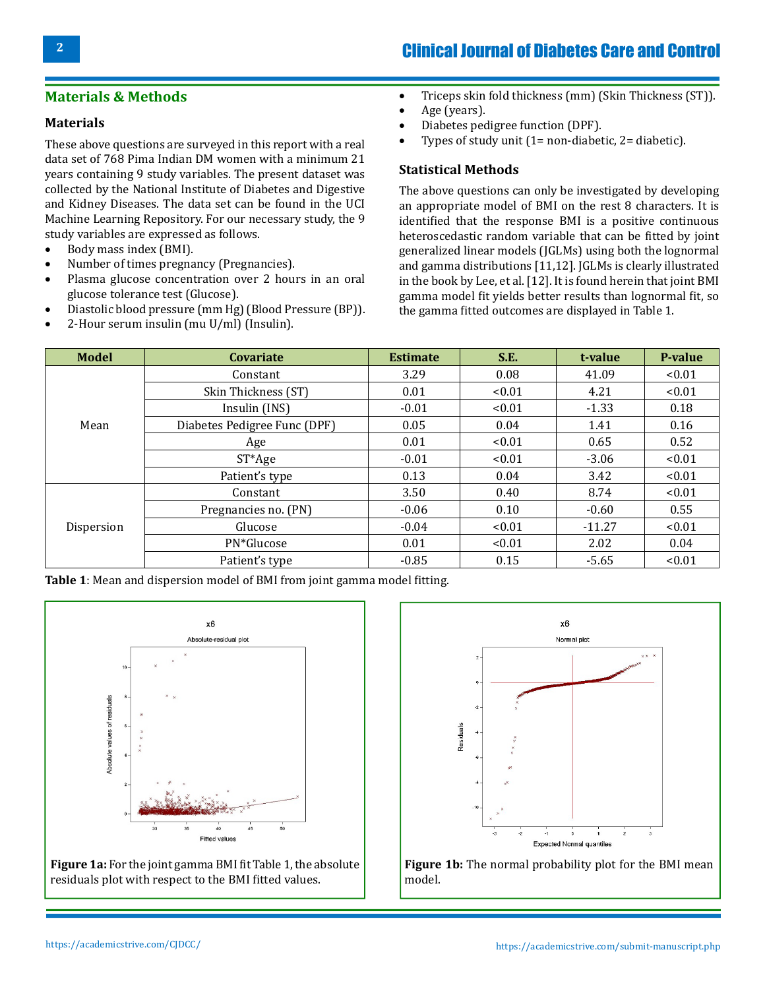# Clinical Journal of Diabetes Care and Control

### **Materials & Methods**

#### **Materials**

These above questions are surveyed in this report with a real data set of 768 Pima Indian DM women with a minimum 21 years containing 9 study variables. The present dataset was collected by the National Institute of Diabetes and Digestive and Kidney Diseases. The data set can be found in the UCI Machine Learning Repository. For our necessary study, the 9 study variables are expressed as follows.<br>• Body mass index (BMI).

- Body mass index (BMI).
- Number of times pregnancy (Pregnancies).<br>• Plasma glucose concentration over 2 hours
- Plasma glucose concentration over 2 hours in an oral glucose tolerance test (Glucose).
- Diastolic blood pressure (mm Hg) (Blood Pressure (BP)).<br>• 2-Hour serum insulin (mu II/ml) (Insulin).
- 2-Hour serum insulin (mu U/ml) (Insulin).
- Triceps skin fold thickness (mm) (Skin Thickness (ST)).
- • Age (years).
- Diabetes pedigree function (DPF).
- Types of study unit  $(1=$  non-diabetic,  $2=$  diabetic).

#### **Statistical Methods**

The above questions can only be investigated by developing an appropriate model of BMI on the rest 8 characters. It is identified that the response BMI is a positive continuous heteroscedastic random variable that can be fitted by joint generalized linear models (JGLMs) using both the lognormal and gamma distributions [11,12]. JGLMs is clearly illustrated in the book by Lee, et al. [12]. It is found herein that joint BMI gamma model fit yields better results than lognormal fit, so the gamma fitted outcomes are displayed in Table 1.

| <b>Model</b> | <b>Covariate</b>             | <b>Estimate</b> | S.E.   | t-value  | P-value |
|--------------|------------------------------|-----------------|--------|----------|---------|
| Mean         | Constant                     | 3.29            | 0.08   | 41.09    | < 0.01  |
|              | Skin Thickness (ST)          | 0.01            | < 0.01 | 4.21     | < 0.01  |
|              | Insulin (INS)                | $-0.01$         | < 0.01 | $-1.33$  | 0.18    |
|              | Diabetes Pedigree Func (DPF) | 0.05            | 0.04   | 1.41     | 0.16    |
|              | Age                          | 0.01            | < 0.01 | 0.65     | 0.52    |
|              | $ST*Age$                     | $-0.01$         | < 0.01 | $-3.06$  | < 0.01  |
|              | Patient's type               | 0.13            | 0.04   | 3.42     | < 0.01  |
| Dispersion   | Constant                     | 3.50            | 0.40   | 8.74     | < 0.01  |
|              | Pregnancies no. (PN)         | $-0.06$         | 0.10   | $-0.60$  | 0.55    |
|              | Glucose                      | $-0.04$         | < 0.01 | $-11.27$ | < 0.01  |
|              | PN*Glucose                   | 0.01            | < 0.01 | 2.02     | 0.04    |
|              | Patient's type               | $-0.85$         | 0.15   | $-5.65$  | < 0.01  |

**Table 1**: Mean and dispersion model of BMI from joint gamma model fitting.



**Figure 1a:** For the joint gamma BMI fit Table 1, the absolute residuals plot with respect to the BMI fitted values.



**Figure 1b:** The normal probability plot for the BMI mean model.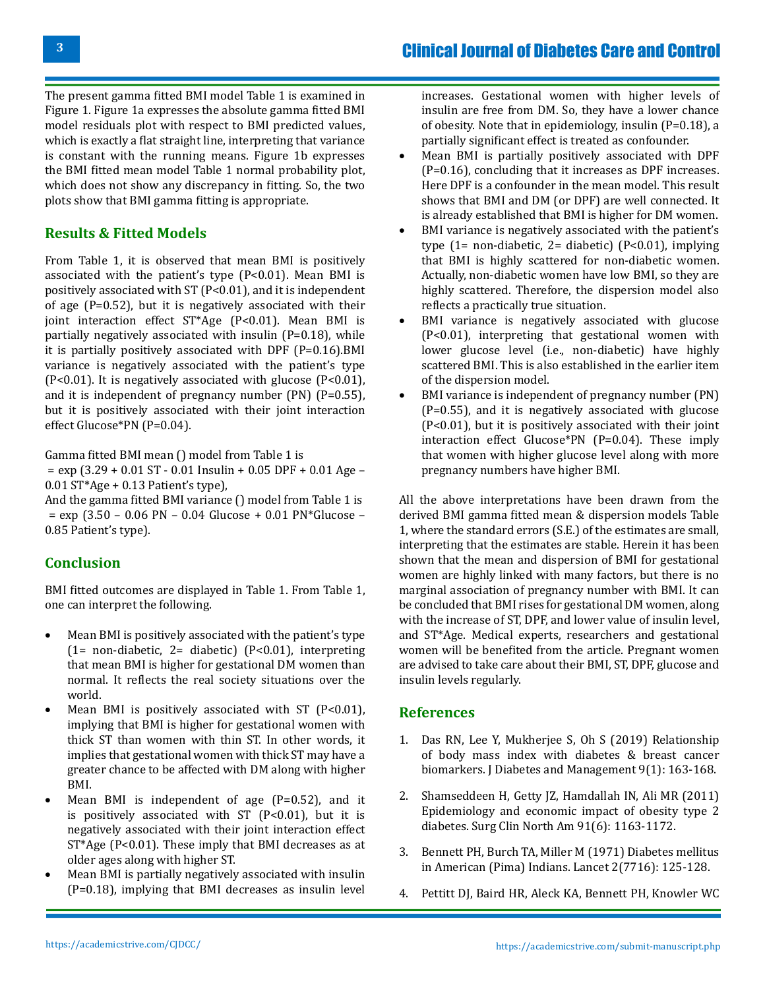The present gamma fitted BMI model Table 1 is examined in Figure 1. Figure 1a expresses the absolute gamma fitted BMI model residuals plot with respect to BMI predicted values, which is exactly a flat straight line, interpreting that variance is constant with the running means. Figure 1b expresses the BMI fitted mean model Table 1 normal probability plot, which does not show any discrepancy in fitting. So, the two plots show that BMI gamma fitting is appropriate.

### **Results & Fitted Models**

From Table 1, it is observed that mean BMI is positively associated with the patient's type (P<0.01). Mean BMI is positively associated with ST (P<0.01), and it is independent of age (P=0.52), but it is negatively associated with their joint interaction effect ST\*Age (P<0.01). Mean BMI is partially negatively associated with insulin (P=0.18), while it is partially positively associated with DPF (P=0.16).BMI variance is negatively associated with the patient's type  $(P<0.01)$ . It is negatively associated with glucose  $(P<0.01)$ , and it is independent of pregnancy number (PN) (P=0.55), but it is positively associated with their joint interaction effect Glucose\*PN (P=0.04).

Gamma fitted BMI mean () model from Table 1 is

 $=$  exp (3.29 + 0.01 ST - 0.01 Insulin + 0.05 DPF + 0.01 Age – 0.01 ST\*Age + 0.13 Patient's type),

And the gamma fitted BMI variance () model from Table 1 is = exp (3.50 – 0.06 PN – 0.04 Glucose + 0.01 PN\*Glucose – 0.85 Patient's type).

## **Conclusion**

BMI fitted outcomes are displayed in Table 1. From Table 1, one can interpret the following.

- Mean BMI is positively associated with the patient's type (1= non-diabetic, 2= diabetic) (P<0.01), interpreting that mean BMI is higher for gestational DM women than normal. It reflects the real society situations over the world.
- Mean BMI is positively associated with ST ( $P < 0.01$ ), implying that BMI is higher for gestational women with thick ST than women with thin ST. In other words, it implies that gestational women with thick ST may have a greater chance to be affected with DM along with higher BMI.
- • Mean BMI is independent of age (P=0.52), and it is positively associated with  $ST$  ( $P<0.01$ ), but it is negatively associated with their joint interaction effect ST\*Age (P<0.01). These imply that BMI decreases as at older ages along with higher ST.
- Mean BMI is partially negatively associated with insulin (P=0.18), implying that BMI decreases as insulin level

increases. Gestational women with higher levels of insulin are free from DM. So, they have a lower chance of obesity. Note that in epidemiology, insulin (P=0.18), a partially significant effect is treated as confounder.

- • Mean BMI is partially positively associated with DPF (P=0.16), concluding that it increases as DPF increases. Here DPF is a confounder in the mean model. This result shows that BMI and DM (or DPF) are well connected. It is already established that BMI is higher for DM women.
- BMI variance is negatively associated with the patient's type  $(1=$  non-diabetic,  $2=$  diabetic)  $(P<0.01)$ , implying that BMI is highly scattered for non-diabetic women. Actually, non-diabetic women have low BMI, so they are highly scattered. Therefore, the dispersion model also reflects a practically true situation.
- • BMI variance is negatively associated with glucose (P<0.01), interpreting that gestational women with lower glucose level (i.e., non-diabetic) have highly scattered BMI. This is also established in the earlier item of the dispersion model.
- BMI variance is independent of pregnancy number (PN) (P=0.55), and it is negatively associated with glucose (P<0.01), but it is positively associated with their joint interaction effect Glucose\*PN (P=0.04). These imply that women with higher glucose level along with more pregnancy numbers have higher BMI.

All the above interpretations have been drawn from the derived BMI gamma fitted mean & dispersion models Table 1, where the standard errors (S.E.) of the estimates are small, interpreting that the estimates are stable. Herein it has been shown that the mean and dispersion of BMI for gestational women are highly linked with many factors, but there is no marginal association of pregnancy number with BMI. It can be concluded that BMI rises for gestational DM women, along with the increase of ST, DPF, and lower value of insulin level, and ST\*Age. Medical experts, researchers and gestational women will be benefited from the article. Pregnant women are advised to take care about their BMI, ST, DPF, glucose and insulin levels regularly.

#### **References**

- 1. [Das RN, Lee Y, Mukherjee S, Oh S \(2019\) Relationship](https://www.openaccessjournals.com/articles/relationship-of-body-mass-index-with-diabetes-and-breast-cancer-biomarkers-12897.html)  [of body mass index with diabetes & breast cancer](https://www.openaccessjournals.com/articles/relationship-of-body-mass-index-with-diabetes-and-breast-cancer-biomarkers-12897.html) [biomarkers. J Diabetes and Management 9\(1\): 163-168.](https://www.openaccessjournals.com/articles/relationship-of-body-mass-index-with-diabetes-and-breast-cancer-biomarkers-12897.html)
- 2. [Shamseddeen H, Getty JZ, Hamdallah IN, Ali MR \(2011\)](https://pubmed.ncbi.nlm.nih.gov/22054146/) [Epidemiology and economic impact of obesity type 2](https://pubmed.ncbi.nlm.nih.gov/22054146/) [diabetes. Surg Clin North Am 91\(6\): 1163-1172.](https://pubmed.ncbi.nlm.nih.gov/22054146/)
- 3. [Bennett PH, Burch TA, Miller M \(1971\) Diabetes mellitus](https://pubmed.ncbi.nlm.nih.gov/4104461/)  [in American \(Pima\) Indians. Lancet 2\(7716\): 125-128.](https://pubmed.ncbi.nlm.nih.gov/4104461/)
- 4. [Pettitt DJ, Baird HR, Aleck KA, Bennett PH, Knowler WC](https://pubmed.ncbi.nlm.nih.gov/6848933/)